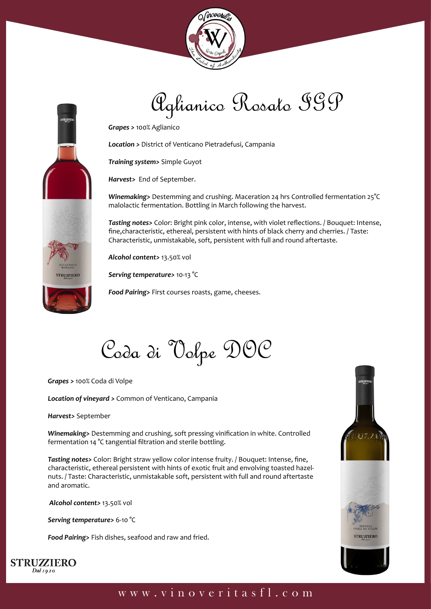



## Aglianico Rosato IGP

*Grapes >* 100% Aglianico

*Location >* District of Venticano Pietradefusi, Campania

*Training system>* Simple Guyot

*Harvest>* End of September.

*Winemaking>* Destemming and crushing. Maceration 24 hrs Controlled fermentation 25°C malolactic fermentation. Bottling in March following the harvest.

*Tasting notes>* Color: Bright pink color, intense, with violet reflections. / Bouquet: Intense, fine,characteristic, ethereal, persistent with hints of black cherry and cherries. / Taste: Characteristic, unmistakable, soft, persistent with full and round aftertaste.

*Alcohol content>* 13.50% vol

*Serving temperature>* 10-13 °C

*Food Pairing>* First courses roasts, game, cheeses.

Coda di Volpe DOC

*Grapes >* 100% Coda di Volpe

*Location of vineyard >* Common of Venticano, Campania

*Harvest>* September

*Winemaking>* Destemming and crushing, soft pressing vinification in white. Controlled fermentation 14 °C tangential filtration and sterile bottling.

*Tasting notes>* Color: Bright straw yellow color intense fruity. / Bouquet: Intense, fine, characteristic, ethereal persistent with hints of exotic fruit and envolving toasted hazelnuts. / Taste: Characteristic, unmistakable soft, persistent with full and round aftertaste and aromatic.

 *Alcohol content>* 13.50% vol

*Serving temperature>* 6-10 °C

*Food Pairing>* Fish dishes, seafood and raw and fried.





## www.vinoveritasfl.com